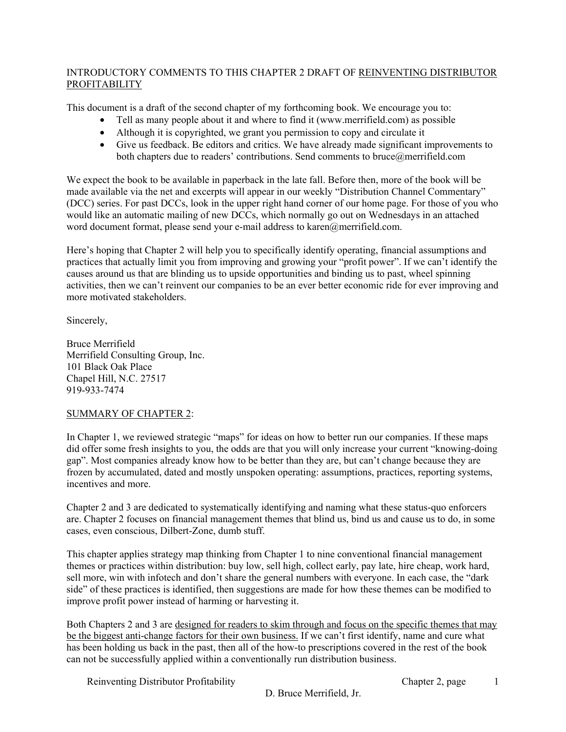#### INTRODUCTORY COMMENTS TO THIS CHAPTER 2 DRAFT OF REINVENTING DISTRIBUTOR PROFITABILITY

This document is a draft of the second chapter of my forthcoming book. We encourage you to:

- Tell as many people about it and where to find it (www.merrifield.com) as possible
- Although it is copyrighted, we grant you permission to copy and circulate it
- Give us feedback. Be editors and critics. We have already made significant improvements to both chapters due to readers' contributions. Send comments to bruce@merrifield.com

We expect the book to be available in paperback in the late fall. Before then, more of the book will be made available via the net and excerpts will appear in our weekly "Distribution Channel Commentary" (DCC) series. For past DCCs, look in the upper right hand corner of our home page. For those of you who would like an automatic mailing of new DCCs, which normally go out on Wednesdays in an attached word document format, please send your e-mail address to karen@merrifield.com.

Here's hoping that Chapter 2 will help you to specifically identify operating, financial assumptions and practices that actually limit you from improving and growing your "profit power". If we can't identify the causes around us that are blinding us to upside opportunities and binding us to past, wheel spinning activities, then we can't reinvent our companies to be an ever better economic ride for ever improving and more motivated stakeholders.

Sincerely,

Bruce Merrifield Merrifield Consulting Group, Inc. 101 Black Oak Place Chapel Hill, N.C. 27517 919-933-7474

#### SUMMARY OF CHAPTER 2:

In Chapter 1, we reviewed strategic "maps" for ideas on how to better run our companies. If these maps did offer some fresh insights to you, the odds are that you will only increase your current "knowing-doing gap". Most companies already know how to be better than they are, but can't change because they are frozen by accumulated, dated and mostly unspoken operating: assumptions, practices, reporting systems, incentives and more.

Chapter 2 and 3 are dedicated to systematically identifying and naming what these status-quo enforcers are. Chapter 2 focuses on financial management themes that blind us, bind us and cause us to do, in some cases, even conscious, Dilbert-Zone, dumb stuff.

This chapter applies strategy map thinking from Chapter 1 to nine conventional financial management themes or practices within distribution: buy low, sell high, collect early, pay late, hire cheap, work hard, sell more, win with infotech and don't share the general numbers with everyone. In each case, the "dark side" of these practices is identified, then suggestions are made for how these themes can be modified to improve profit power instead of harming or harvesting it.

Both Chapters 2 and 3 are designed for readers to skim through and focus on the specific themes that may be the biggest anti-change factors for their own business. If we can't first identify, name and cure what has been holding us back in the past, then all of the how-to prescriptions covered in the rest of the book can not be successfully applied within a conventionally run distribution business.

Reinventing Distributor Profitability Chapter 2, page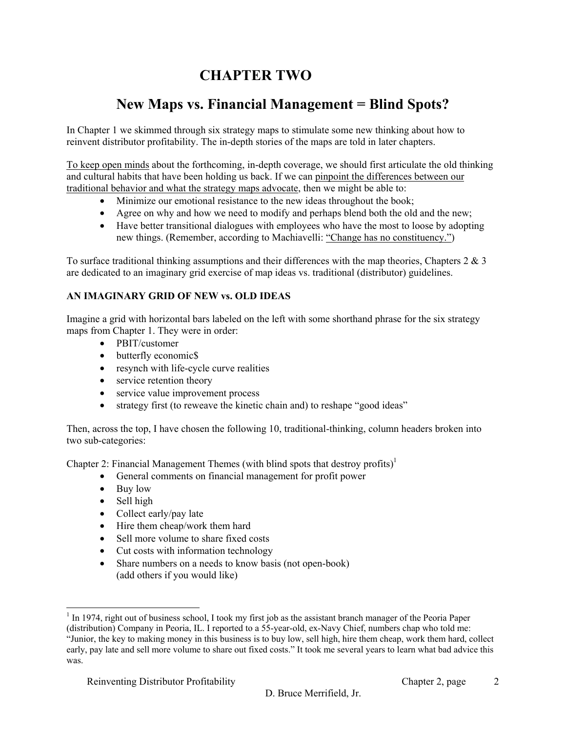# **CHAPTER TWO**

## **New Maps vs. Financial Management = Blind Spots?**

In Chapter 1 we skimmed through six strategy maps to stimulate some new thinking about how to reinvent distributor profitability. The in-depth stories of the maps are told in later chapters.

To keep open minds about the forthcoming, in-depth coverage, we should first articulate the old thinking and cultural habits that have been holding us back. If we can pinpoint the differences between our traditional behavior and what the strategy maps advocate, then we might be able to:

- Minimize our emotional resistance to the new ideas throughout the book;
- Agree on why and how we need to modify and perhaps blend both the old and the new;
- Have better transitional dialogues with employees who have the most to loose by adopting new things. (Remember, according to Machiavelli: "Change has no constituency.")

To surface traditional thinking assumptions and their differences with the map theories, Chapters  $2 \& 3$ are dedicated to an imaginary grid exercise of map ideas vs. traditional (distributor) guidelines.

## **AN IMAGINARY GRID OF NEW vs. OLD IDEAS**

Imagine a grid with horizontal bars labeled on the left with some shorthand phrase for the six strategy maps from Chapter 1. They were in order:

- PBIT/customer
- butterfly economic\$
- resynch with life-cycle curve realities
- service retention theory
- service value improvement process
- strategy first (to reweave the kinetic chain and) to reshape "good ideas"

Then, across the top, I have chosen the following 10, traditional-thinking, column headers broken into two sub-categories:

Chapter 2: Financial Management Themes (with blind spots that destroy profits)<sup>1</sup>

- General comments on financial management for profit power
- Buy low
- Sell high

1

- Collect early/pay late
- Hire them cheap/work them hard
- Sell more volume to share fixed costs
- Cut costs with information technology
- Share numbers on a needs to know basis (not open-book) (add others if you would like)

<sup>&</sup>lt;sup>1</sup> In 1974, right out of business school, I took my first job as the assistant branch manager of the Peoria Paper

<sup>(</sup>distribution) Company in Peoria, IL. I reported to a 55-year-old, ex-Navy Chief, numbers chap who told me: "Junior, the key to making money in this business is to buy low, sell high, hire them cheap, work them hard, collect early, pay late and sell more volume to share out fixed costs." It took me several years to learn what bad advice this was.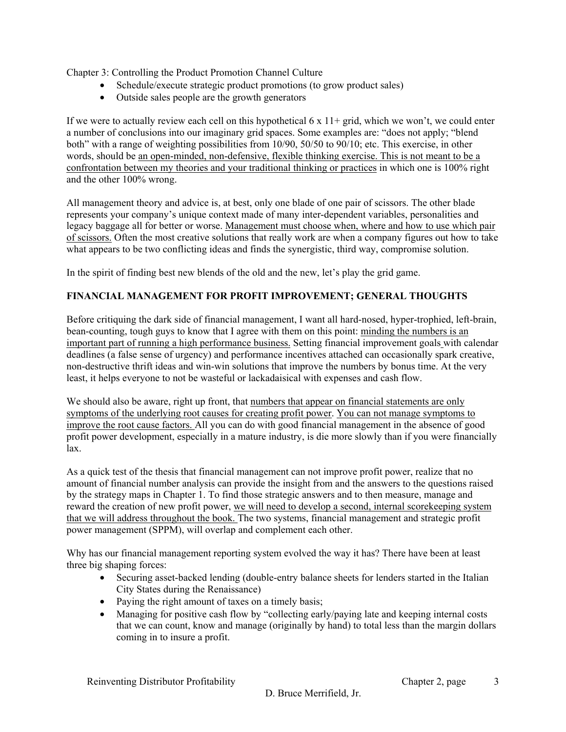Chapter 3: Controlling the Product Promotion Channel Culture

- Schedule/execute strategic product promotions (to grow product sales)
- Outside sales people are the growth generators

If we were to actually review each cell on this hypothetical  $6 \times 11+$  grid, which we won't, we could enter a number of conclusions into our imaginary grid spaces. Some examples are: "does not apply; "blend both" with a range of weighting possibilities from 10/90, 50/50 to 90/10; etc. This exercise, in other words, should be an open-minded, non-defensive, flexible thinking exercise. This is not meant to be a confrontation between my theories and your traditional thinking or practices in which one is 100% right and the other 100% wrong.

All management theory and advice is, at best, only one blade of one pair of scissors. The other blade represents your company's unique context made of many inter-dependent variables, personalities and legacy baggage all for better or worse. Management must choose when, where and how to use which pair of scissors. Often the most creative solutions that really work are when a company figures out how to take what appears to be two conflicting ideas and finds the synergistic, third way, compromise solution.

In the spirit of finding best new blends of the old and the new, let's play the grid game.

#### **FINANCIAL MANAGEMENT FOR PROFIT IMPROVEMENT; GENERAL THOUGHTS**

Before critiquing the dark side of financial management, I want all hard-nosed, hyper-trophied, left-brain, bean-counting, tough guys to know that I agree with them on this point: minding the numbers is an important part of running a high performance business. Setting financial improvement goals with calendar deadlines (a false sense of urgency) and performance incentives attached can occasionally spark creative, non-destructive thrift ideas and win-win solutions that improve the numbers by bonus time. At the very least, it helps everyone to not be wasteful or lackadaisical with expenses and cash flow.

We should also be aware, right up front, that numbers that appear on financial statements are only symptoms of the underlying root causes for creating profit power. You can not manage symptoms to improve the root cause factors. All you can do with good financial management in the absence of good profit power development, especially in a mature industry, is die more slowly than if you were financially lax.

As a quick test of the thesis that financial management can not improve profit power, realize that no amount of financial number analysis can provide the insight from and the answers to the questions raised by the strategy maps in Chapter 1. To find those strategic answers and to then measure, manage and reward the creation of new profit power, we will need to develop a second, internal scorekeeping system that we will address throughout the book. The two systems, financial management and strategic profit power management (SPPM), will overlap and complement each other.

Why has our financial management reporting system evolved the way it has? There have been at least three big shaping forces:

- Securing asset-backed lending (double-entry balance sheets for lenders started in the Italian City States during the Renaissance)
- Paying the right amount of taxes on a timely basis;
- Managing for positive cash flow by "collecting early/paying late and keeping internal costs that we can count, know and manage (originally by hand) to total less than the margin dollars coming in to insure a profit.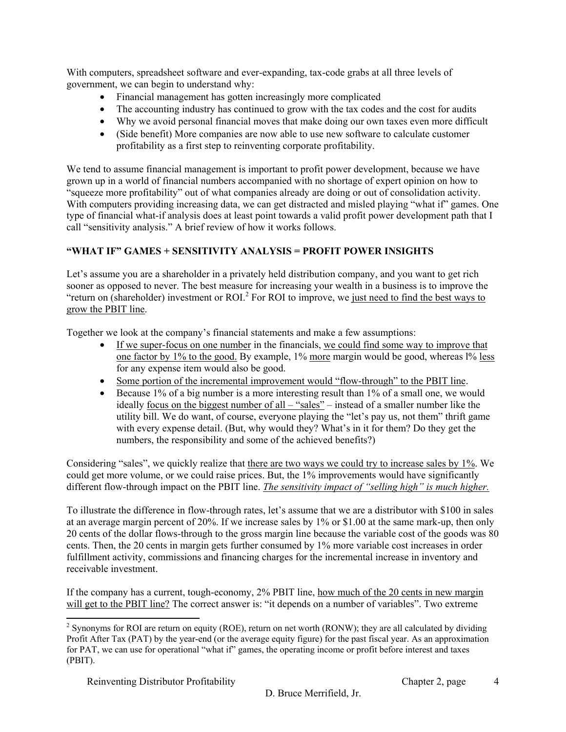With computers, spreadsheet software and ever-expanding, tax-code grabs at all three levels of government, we can begin to understand why:

- Financial management has gotten increasingly more complicated
- The accounting industry has continued to grow with the tax codes and the cost for audits
- Why we avoid personal financial moves that make doing our own taxes even more difficult
- (Side benefit) More companies are now able to use new software to calculate customer profitability as a first step to reinventing corporate profitability.

We tend to assume financial management is important to profit power development, because we have grown up in a world of financial numbers accompanied with no shortage of expert opinion on how to "squeeze more profitability" out of what companies already are doing or out of consolidation activity. With computers providing increasing data, we can get distracted and misled playing "what if" games. One type of financial what-if analysis does at least point towards a valid profit power development path that I call "sensitivity analysis." A brief review of how it works follows.

## **"WHAT IF" GAMES + SENSITIVITY ANALYSIS = PROFIT POWER INSIGHTS**

Let's assume you are a shareholder in a privately held distribution company, and you want to get rich sooner as opposed to never. The best measure for increasing your wealth in a business is to improve the "return on (shareholder) investment or ROI.<sup>2</sup> For ROI to improve, we just need to find the best ways to grow the PBIT line.

Together we look at the company's financial statements and make a few assumptions:

- If we super-focus on one number in the financials, we could find some way to improve that one factor by  $1\%$  to the good. By example,  $1\%$  more margin would be good, whereas  $1\%$  less for any expense item would also be good.
- Some portion of the incremental improvement would "flow-through" to the PBIT line.
- Because 1% of a big number is a more interesting result than 1% of a small one, we would ideally focus on the biggest number of all – "sales" – instead of a smaller number like the utility bill. We do want, of course, everyone playing the "let's pay us, not them" thrift game with every expense detail. (But, why would they? What's in it for them? Do they get the numbers, the responsibility and some of the achieved benefits?)

Considering "sales", we quickly realize that there are two ways we could try to increase sales by 1%. We could get more volume, or we could raise prices. But, the 1% improvements would have significantly different flow-through impact on the PBIT line. *The sensitivity impact of "selling high" is much higher.*

To illustrate the difference in flow-through rates, let's assume that we are a distributor with \$100 in sales at an average margin percent of 20%. If we increase sales by 1% or \$1.00 at the same mark-up, then only 20 cents of the dollar flows-through to the gross margin line because the variable cost of the goods was 80 cents. Then, the 20 cents in margin gets further consumed by 1% more variable cost increases in order fulfillment activity, commissions and financing charges for the incremental increase in inventory and receivable investment.

If the company has a current, tough-economy, 2% PBIT line, how much of the 20 cents in new margin will get to the PBIT line? The correct answer is: "it depends on a number of variables". Two extreme

l

<sup>&</sup>lt;sup>2</sup> Synonyms for ROI are return on equity (ROE), return on net worth (RONW); they are all calculated by dividing Profit After Tax (PAT) by the year-end (or the average equity figure) for the past fiscal year. As an approximation for PAT, we can use for operational "what if" games, the operating income or profit before interest and taxes (PBIT).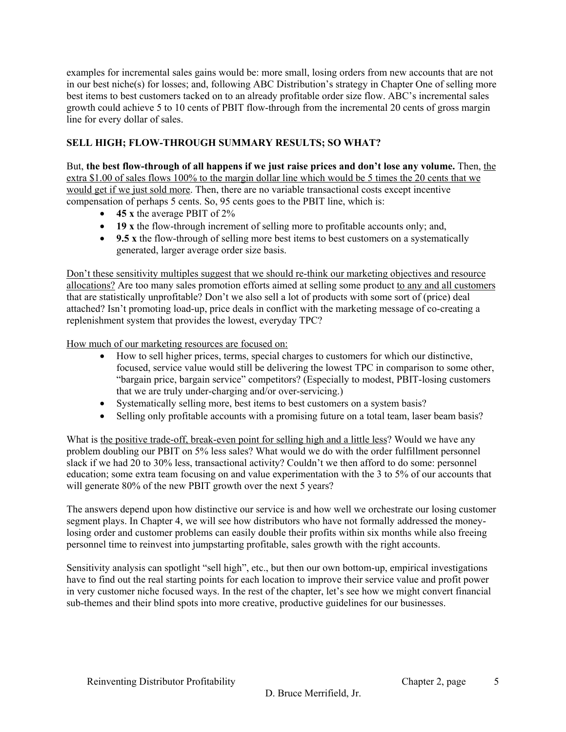examples for incremental sales gains would be: more small, losing orders from new accounts that are not in our best niche(s) for losses; and, following ABC Distribution's strategy in Chapter One of selling more best items to best customers tacked on to an already profitable order size flow. ABC's incremental sales growth could achieve 5 to 10 cents of PBIT flow-through from the incremental 20 cents of gross margin line for every dollar of sales.

## **SELL HIGH; FLOW-THROUGH SUMMARY RESULTS; SO WHAT?**

But, **the best flow-through of all happens if we just raise prices and don't lose any volume.** Then, the extra \$1.00 of sales flows 100% to the margin dollar line which would be 5 times the 20 cents that we would get if we just sold more. Then, there are no variable transactional costs except incentive compensation of perhaps 5 cents. So, 95 cents goes to the PBIT line, which is:

- **45 x** the average PBIT of 2%
- **19 x** the flow-through increment of selling more to profitable accounts only; and,
- **9.5** x the flow-through of selling more best items to best customers on a systematically generated, larger average order size basis.

Don't these sensitivity multiples suggest that we should re-think our marketing objectives and resource allocations? Are too many sales promotion efforts aimed at selling some product to any and all customers that are statistically unprofitable? Don't we also sell a lot of products with some sort of (price) deal attached? Isn't promoting load-up, price deals in conflict with the marketing message of co-creating a replenishment system that provides the lowest, everyday TPC?

How much of our marketing resources are focused on:

- How to sell higher prices, terms, special charges to customers for which our distinctive, focused, service value would still be delivering the lowest TPC in comparison to some other, "bargain price, bargain service" competitors? (Especially to modest, PBIT-losing customers that we are truly under-charging and/or over-servicing.)
- Systematically selling more, best items to best customers on a system basis?
- Selling only profitable accounts with a promising future on a total team, laser beam basis?

What is the positive trade-off, break-even point for selling high and a little less? Would we have any problem doubling our PBIT on 5% less sales? What would we do with the order fulfillment personnel slack if we had 20 to 30% less, transactional activity? Couldn't we then afford to do some: personnel education; some extra team focusing on and value experimentation with the 3 to 5% of our accounts that will generate 80% of the new PBIT growth over the next 5 years?

The answers depend upon how distinctive our service is and how well we orchestrate our losing customer segment plays. In Chapter 4, we will see how distributors who have not formally addressed the moneylosing order and customer problems can easily double their profits within six months while also freeing personnel time to reinvest into jumpstarting profitable, sales growth with the right accounts.

Sensitivity analysis can spotlight "sell high", etc., but then our own bottom-up, empirical investigations have to find out the real starting points for each location to improve their service value and profit power in very customer niche focused ways. In the rest of the chapter, let's see how we might convert financial sub-themes and their blind spots into more creative, productive guidelines for our businesses.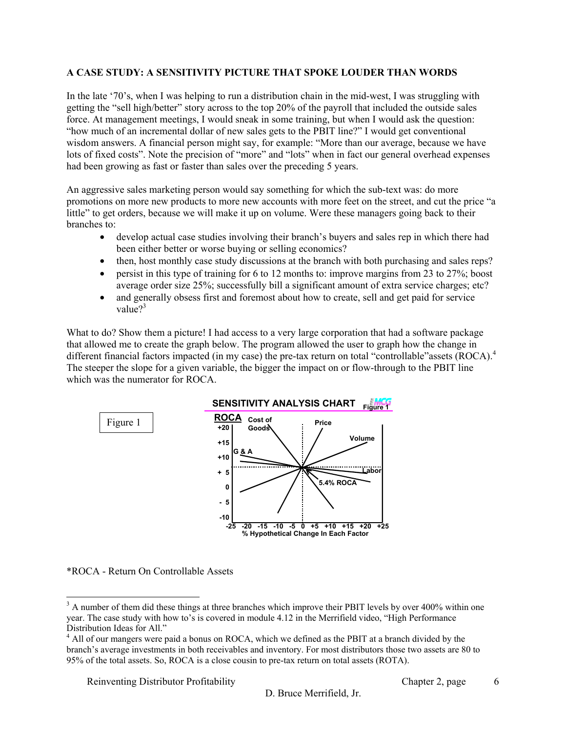#### **A CASE STUDY: A SENSITIVITY PICTURE THAT SPOKE LOUDER THAN WORDS**

In the late '70's, when I was helping to run a distribution chain in the mid-west, I was struggling with getting the "sell high/better" story across to the top 20% of the payroll that included the outside sales force. At management meetings, I would sneak in some training, but when I would ask the question: "how much of an incremental dollar of new sales gets to the PBIT line?" I would get conventional wisdom answers. A financial person might say, for example: "More than our average, because we have lots of fixed costs". Note the precision of "more" and "lots" when in fact our general overhead expenses had been growing as fast or faster than sales over the preceding 5 years.

An aggressive sales marketing person would say something for which the sub-text was: do more promotions on more new products to more new accounts with more feet on the street, and cut the price "a little" to get orders, because we will make it up on volume. Were these managers going back to their branches to:

- develop actual case studies involving their branch's buyers and sales rep in which there had been either better or worse buying or selling economics?
- then, host monthly case study discussions at the branch with both purchasing and sales reps?
- persist in this type of training for 6 to 12 months to: improve margins from 23 to 27%; boost average order size 25%; successfully bill a significant amount of extra service charges; etc?
- and generally obsess first and foremost about how to create, sell and get paid for service value $2^3$

What to do? Show them a picture! I had access to a very large corporation that had a software package that allowed me to create the graph below. The program allowed the user to graph how the change in different financial factors impacted (in my case) the pre-tax return on total "controllable" assets (ROCA).<sup>4</sup> The steeper the slope for a given variable, the bigger the impact on or flow-through to the PBIT line which was the numerator for ROCA.



\*ROCA - Return On Controllable Assets

Reinventing Distributor Profitability **Chapter 2, page** 

6

<sup>&</sup>lt;sup>3</sup> A number of them did these things at three branches which improve their PBIT levels by over 400% within one year. The case study with how to's is covered in module 4.12 in the Merrifield video, "High Performance Distribution Ideas for All."

<sup>&</sup>lt;sup>4</sup> All of our mangers were paid a bonus on ROCA, which we defined as the PBIT at a branch divided by the branch's average investments in both receivables and inventory. For most distributors those two assets are 80 to 95% of the total assets. So, ROCA is a close cousin to pre-tax return on total assets (ROTA).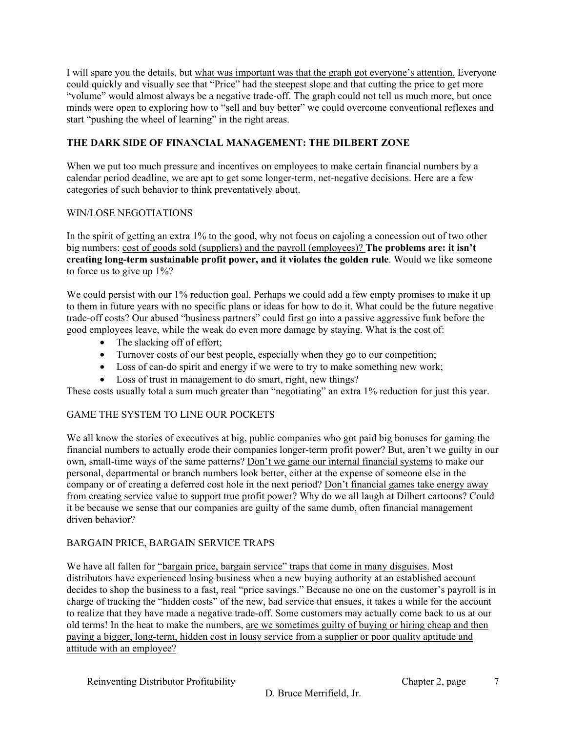I will spare you the details, but what was important was that the graph got everyone's attention. Everyone could quickly and visually see that "Price" had the steepest slope and that cutting the price to get more "volume" would almost always be a negative trade-off. The graph could not tell us much more, but once minds were open to exploring how to "sell and buy better" we could overcome conventional reflexes and start "pushing the wheel of learning" in the right areas.

## **THE DARK SIDE OF FINANCIAL MANAGEMENT: THE DILBERT ZONE**

When we put too much pressure and incentives on employees to make certain financial numbers by a calendar period deadline, we are apt to get some longer-term, net-negative decisions. Here are a few categories of such behavior to think preventatively about.

#### WIN/LOSE NEGOTIATIONS

In the spirit of getting an extra 1% to the good, why not focus on cajoling a concession out of two other big numbers: cost of goods sold (suppliers) and the payroll (employees)? **The problems are: it isn't creating long-term sustainable profit power, and it violates the golden rule**. Would we like someone to force us to give up 1%?

We could persist with our 1% reduction goal. Perhaps we could add a few empty promises to make it up to them in future years with no specific plans or ideas for how to do it. What could be the future negative trade-off costs? Our abused "business partners" could first go into a passive aggressive funk before the good employees leave, while the weak do even more damage by staying. What is the cost of:

- The slacking off of effort:
- Turnover costs of our best people, especially when they go to our competition;
- Loss of can-do spirit and energy if we were to try to make something new work;
- Loss of trust in management to do smart, right, new things?

These costs usually total a sum much greater than "negotiating" an extra 1% reduction for just this year.

#### GAME THE SYSTEM TO LINE OUR POCKETS

We all know the stories of executives at big, public companies who got paid big bonuses for gaming the financial numbers to actually erode their companies longer-term profit power? But, aren't we guilty in our own, small-time ways of the same patterns? Don't we game our internal financial systems to make our personal, departmental or branch numbers look better, either at the expense of someone else in the company or of creating a deferred cost hole in the next period? Don't financial games take energy away from creating service value to support true profit power? Why do we all laugh at Dilbert cartoons? Could it be because we sense that our companies are guilty of the same dumb, often financial management driven behavior?

#### BARGAIN PRICE, BARGAIN SERVICE TRAPS

We have all fallen for "bargain price, bargain service" traps that come in many disguises. Most distributors have experienced losing business when a new buying authority at an established account decides to shop the business to a fast, real "price savings." Because no one on the customer's payroll is in charge of tracking the "hidden costs" of the new, bad service that ensues, it takes a while for the account to realize that they have made a negative trade-off. Some customers may actually come back to us at our old terms! In the heat to make the numbers, are we sometimes guilty of buying or hiring cheap and then paying a bigger, long-term, hidden cost in lousy service from a supplier or poor quality aptitude and attitude with an employee?

Reinventing Distributor Profitability **Chapter 2**, page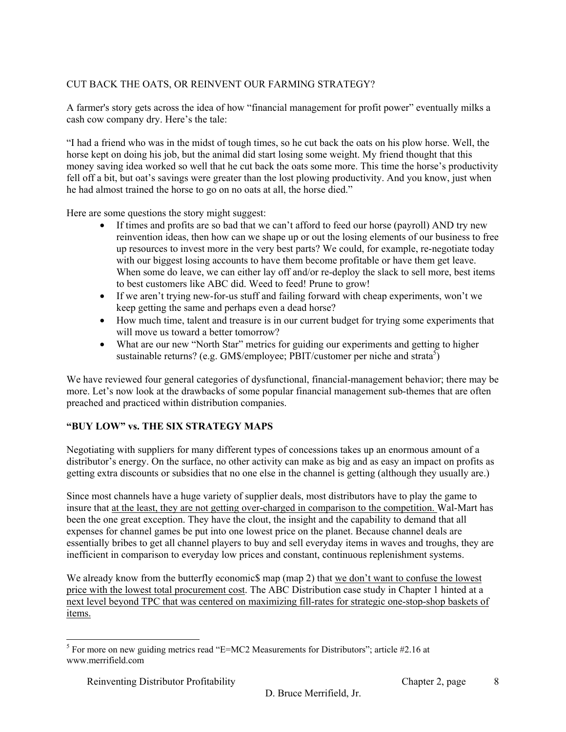## CUT BACK THE OATS, OR REINVENT OUR FARMING STRATEGY?

A farmer's story gets across the idea of how "financial management for profit power" eventually milks a cash cow company dry. Here's the tale:

"I had a friend who was in the midst of tough times, so he cut back the oats on his plow horse. Well, the horse kept on doing his job, but the animal did start losing some weight. My friend thought that this money saving idea worked so well that he cut back the oats some more. This time the horse's productivity fell off a bit, but oat's savings were greater than the lost plowing productivity. And you know, just when he had almost trained the horse to go on no oats at all, the horse died."

Here are some questions the story might suggest:

- If times and profits are so bad that we can't afford to feed our horse (payroll) AND try new reinvention ideas, then how can we shape up or out the losing elements of our business to free up resources to invest more in the very best parts? We could, for example, re-negotiate today with our biggest losing accounts to have them become profitable or have them get leave. When some do leave, we can either lay off and/or re-deploy the slack to sell more, best items to best customers like ABC did. Weed to feed! Prune to grow!
- If we aren't trying new-for-us stuff and failing forward with cheap experiments, won't we keep getting the same and perhaps even a dead horse?
- How much time, talent and treasure is in our current budget for trying some experiments that will move us toward a better tomorrow?
- What are our new "North Star" metrics for guiding our experiments and getting to higher sustainable returns? (e.g. GM\$/employee; PBIT/customer per niche and strata<sup>5</sup>)

We have reviewed four general categories of dysfunctional, financial-management behavior; there may be more. Let's now look at the drawbacks of some popular financial management sub-themes that are often preached and practiced within distribution companies.

#### **"BUY LOW" vs. THE SIX STRATEGY MAPS**

Negotiating with suppliers for many different types of concessions takes up an enormous amount of a distributor's energy. On the surface, no other activity can make as big and as easy an impact on profits as getting extra discounts or subsidies that no one else in the channel is getting (although they usually are.)

Since most channels have a huge variety of supplier deals, most distributors have to play the game to insure that at the least, they are not getting over-charged in comparison to the competition. Wal-Mart has been the one great exception. They have the clout, the insight and the capability to demand that all expenses for channel games be put into one lowest price on the planet. Because channel deals are essentially bribes to get all channel players to buy and sell everyday items in waves and troughs, they are inefficient in comparison to everyday low prices and constant, continuous replenishment systems.

We already know from the butterfly economics map (map 2) that we don't want to confuse the lowest price with the lowest total procurement cost. The ABC Distribution case study in Chapter 1 hinted at a next level beyond TPC that was centered on maximizing fill-rates for strategic one-stop-shop baskets of items.

l  $<sup>5</sup>$  For more on new guiding metrics read "E=MC2 Measurements for Distributors"; article #2.16 at</sup> www.merrifield.com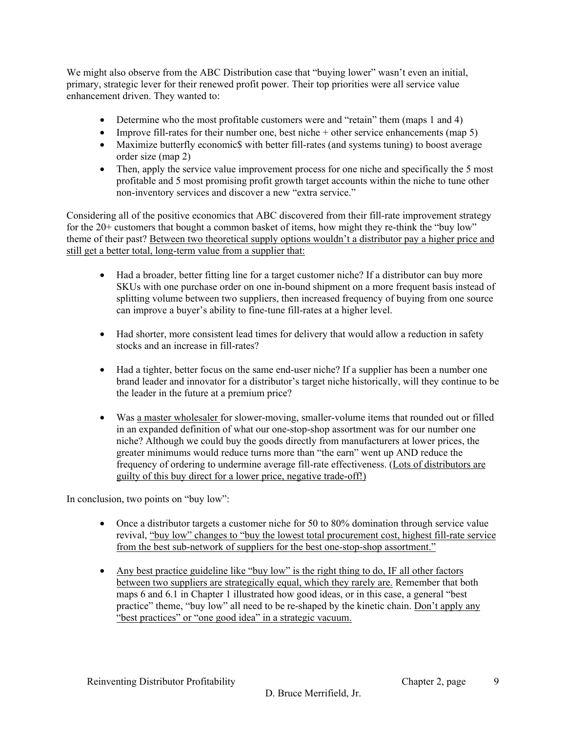We might also observe from the ABC Distribution case that "buying lower" wasn't even an initial, primary, strategic lever for their renewed profit power. Their top priorities were all service value enhancement driven. They wanted to:

- Determine who the most profitable customers were and "retain" them (maps 1 and 4)
- Improve fill-rates for their number one, best niche + other service enhancements (map 5)
- Maximize butterfly economic\$ with better fill-rates (and systems tuning) to boost average order size (map 2)
- Then, apply the service value improvement process for one niche and specifically the 5 most profitable and 5 most promising profit growth target accounts within the niche to tune other non-inventory services and discover a new "extra service."

Considering all of the positive economics that ABC discovered from their fill-rate improvement strategy for the 20+ customers that bought a common basket of items, how might they re-think the "buy low" theme of their past? Between two theoretical supply options wouldn't a distributor pay a higher price and still get a better total, long-term value from a supplier that:

- Had a broader, better fitting line for a target customer niche? If a distributor can buy more SKUs with one purchase order on one in-bound shipment on a more frequent basis instead of splitting volume between two suppliers, then increased frequency of buying from one source can improve a buyer's ability to fine-tune fill-rates at a higher level.
- Had shorter, more consistent lead times for delivery that would allow a reduction in safety stocks and an increase in fill-rates?
- Had a tighter, better focus on the same end-user niche? If a supplier has been a number one brand leader and innovator for a distributor's target niche historically, will they continue to be the leader in the future at a premium price?
- Was a master wholesaler for slower-moving, smaller-volume items that rounded out or filled in an expanded definition of what our one-stop-shop assortment was for our number one niche? Although we could buy the goods directly from manufacturers at lower prices, the greater minimums would reduce turns more than "the earn" went up AND reduce the frequency of ordering to undermine average fill-rate effectiveness. (Lots of distributors are guilty of this buy direct for a lower price, negative trade-off!)

In conclusion, two points on "buy low":

- Once a distributor targets a customer niche for 50 to 80% domination through service value revival, "buy low" changes to "buy the lowest total procurement cost, highest fill-rate service from the best sub-network of suppliers for the best one-stop-shop assortment."
- Any best practice guideline like "buy low" is the right thing to do, IF all other factors between two suppliers are strategically equal, which they rarely are. Remember that both maps 6 and 6.1 in Chapter 1 illustrated how good ideas, or in this case, a general "best practice" theme, "buy low" all need to be re-shaped by the kinetic chain. Don't apply any "best practices" or "one good idea" in a strategic vacuum.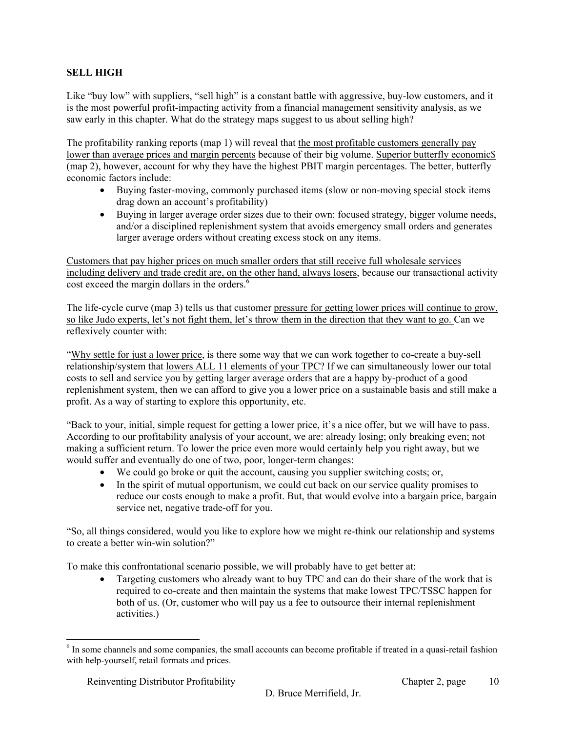## **SELL HIGH**

Like "buy low" with suppliers, "sell high" is a constant battle with aggressive, buy-low customers, and it is the most powerful profit-impacting activity from a financial management sensitivity analysis, as we saw early in this chapter. What do the strategy maps suggest to us about selling high?

The profitability ranking reports (map 1) will reveal that the most profitable customers generally pay lower than average prices and margin percents because of their big volume. Superior butterfly economics (map 2), however, account for why they have the highest PBIT margin percentages. The better, butterfly economic factors include:

- Buying faster-moving, commonly purchased items (slow or non-moving special stock items drag down an account's profitability)
- Buying in larger average order sizes due to their own: focused strategy, bigger volume needs, and/or a disciplined replenishment system that avoids emergency small orders and generates larger average orders without creating excess stock on any items.

Customers that pay higher prices on much smaller orders that still receive full wholesale services including delivery and trade credit are, on the other hand, always losers, because our transactional activity cost exceed the margin dollars in the orders.<sup>6</sup>

The life-cycle curve (map 3) tells us that customer pressure for getting lower prices will continue to grow, so like Judo experts, let's not fight them, let's throw them in the direction that they want to go. Can we reflexively counter with:

"Why settle for just a lower price, is there some way that we can work together to co-create a buy-sell relationship/system that lowers ALL 11 elements of your TPC? If we can simultaneously lower our total costs to sell and service you by getting larger average orders that are a happy by-product of a good replenishment system, then we can afford to give you a lower price on a sustainable basis and still make a profit. As a way of starting to explore this opportunity, etc.

"Back to your, initial, simple request for getting a lower price, it's a nice offer, but we will have to pass. According to our profitability analysis of your account, we are: already losing; only breaking even; not making a sufficient return. To lower the price even more would certainly help you right away, but we would suffer and eventually do one of two, poor, longer-term changes:

- We could go broke or quit the account, causing you supplier switching costs; or,
- In the spirit of mutual opportunism, we could cut back on our service quality promises to reduce our costs enough to make a profit. But, that would evolve into a bargain price, bargain service net, negative trade-off for you.

"So, all things considered, would you like to explore how we might re-think our relationship and systems to create a better win-win solution?"

To make this confrontational scenario possible, we will probably have to get better at:

• Targeting customers who already want to buy TPC and can do their share of the work that is required to co-create and then maintain the systems that make lowest TPC/TSSC happen for both of us. (Or, customer who will pay us a fee to outsource their internal replenishment activities.)

<sup>&</sup>lt;sup>6</sup> In some channels and some companies, the small accounts can become profitable if treated in a quasi-retail fashion with help-yourself, retail formats and prices.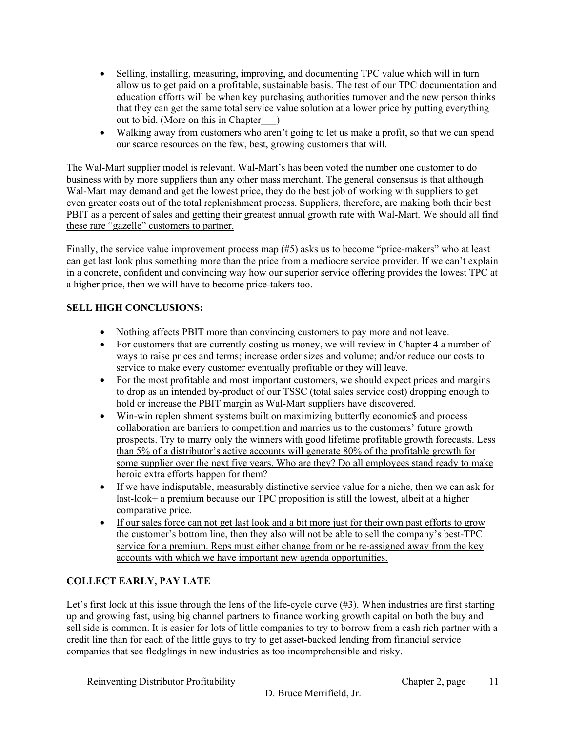- Selling, installing, measuring, improving, and documenting TPC value which will in turn allow us to get paid on a profitable, sustainable basis. The test of our TPC documentation and education efforts will be when key purchasing authorities turnover and the new person thinks that they can get the same total service value solution at a lower price by putting everything out to bid. (More on this in Chapter\_\_\_)
- Walking away from customers who aren't going to let us make a profit, so that we can spend our scarce resources on the few, best, growing customers that will.

The Wal-Mart supplier model is relevant. Wal-Mart's has been voted the number one customer to do business with by more suppliers than any other mass merchant. The general consensus is that although Wal-Mart may demand and get the lowest price, they do the best job of working with suppliers to get even greater costs out of the total replenishment process. Suppliers, therefore, are making both their best PBIT as a percent of sales and getting their greatest annual growth rate with Wal-Mart. We should all find these rare "gazelle" customers to partner.

Finally, the service value improvement process map (#5) asks us to become "price-makers" who at least can get last look plus something more than the price from a mediocre service provider. If we can't explain in a concrete, confident and convincing way how our superior service offering provides the lowest TPC at a higher price, then we will have to become price-takers too.

## **SELL HIGH CONCLUSIONS:**

- Nothing affects PBIT more than convincing customers to pay more and not leave.
- For customers that are currently costing us money, we will review in Chapter 4 a number of ways to raise prices and terms; increase order sizes and volume; and/or reduce our costs to service to make every customer eventually profitable or they will leave.
- For the most profitable and most important customers, we should expect prices and margins to drop as an intended by-product of our TSSC (total sales service cost) dropping enough to hold or increase the PBIT margin as Wal-Mart suppliers have discovered.
- Win-win replenishment systems built on maximizing butterfly economic\$ and process collaboration are barriers to competition and marries us to the customers' future growth prospects. Try to marry only the winners with good lifetime profitable growth forecasts. Less than 5% of a distributor's active accounts will generate 80% of the profitable growth for some supplier over the next five years. Who are they? Do all employees stand ready to make heroic extra efforts happen for them?
- If we have indisputable, measurably distinctive service value for a niche, then we can ask for last-look+ a premium because our TPC proposition is still the lowest, albeit at a higher comparative price.
- If our sales force can not get last look and a bit more just for their own past efforts to grow the customer's bottom line, then they also will not be able to sell the company's best-TPC service for a premium. Reps must either change from or be re-assigned away from the key accounts with which we have important new agenda opportunities.

## **COLLECT EARLY, PAY LATE**

Let's first look at this issue through the lens of the life-cycle curve (#3). When industries are first starting up and growing fast, using big channel partners to finance working growth capital on both the buy and sell side is common. It is easier for lots of little companies to try to borrow from a cash rich partner with a credit line than for each of the little guys to try to get asset-backed lending from financial service companies that see fledglings in new industries as too incomprehensible and risky.

Reinventing Distributor Profitability Chapter 2, page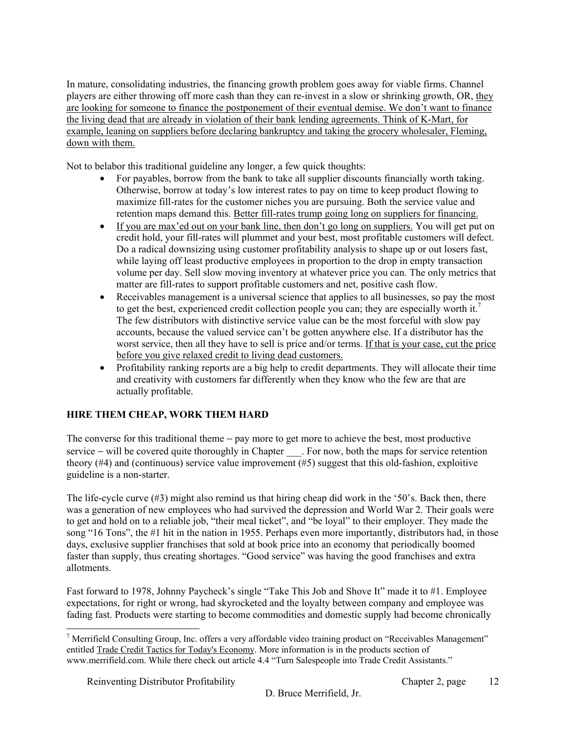In mature, consolidating industries, the financing growth problem goes away for viable firms. Channel players are either throwing off more cash than they can re-invest in a slow or shrinking growth, OR, they are looking for someone to finance the postponement of their eventual demise. We don't want to finance the living dead that are already in violation of their bank lending agreements. Think of K-Mart, for example, leaning on suppliers before declaring bankruptcy and taking the grocery wholesaler, Fleming, down with them.

Not to belabor this traditional guideline any longer, a few quick thoughts:

- For payables, borrow from the bank to take all supplier discounts financially worth taking. Otherwise, borrow at today's low interest rates to pay on time to keep product flowing to maximize fill-rates for the customer niches you are pursuing. Both the service value and retention maps demand this. Better fill-rates trump going long on suppliers for financing.
- If you are max'ed out on your bank line, then don't go long on suppliers. You will get put on credit hold, your fill-rates will plummet and your best, most profitable customers will defect. Do a radical downsizing using customer profitability analysis to shape up or out losers fast, while laying off least productive employees in proportion to the drop in empty transaction volume per day. Sell slow moving inventory at whatever price you can. The only metrics that matter are fill-rates to support profitable customers and net, positive cash flow.
- Receivables management is a universal science that applies to all businesses, so pay the most to get the best, experienced credit collection people you can; they are especially worth it.<sup>7</sup> The few distributors with distinctive service value can be the most forceful with slow pay accounts, because the valued service can't be gotten anywhere else. If a distributor has the worst service, then all they have to sell is price and/or terms. If that is your case, cut the price before you give relaxed credit to living dead customers.
- Profitability ranking reports are a big help to credit departments. They will allocate their time and creativity with customers far differently when they know who the few are that are actually profitable.

## **HIRE THEM CHEAP, WORK THEM HARD**

The converse for this traditional theme – pay more to get more to achieve the best, most productive service – will be covered quite thoroughly in Chapter For now, both the maps for service retention theory (#4) and (continuous) service value improvement (#5) suggest that this old-fashion, exploitive guideline is a non-starter.

The life-cycle curve (#3) might also remind us that hiring cheap did work in the '50's. Back then, there was a generation of new employees who had survived the depression and World War 2. Their goals were to get and hold on to a reliable job, "their meal ticket", and "be loyal" to their employer. They made the song "16 Tons", the #1 hit in the nation in 1955. Perhaps even more importantly, distributors had, in those days, exclusive supplier franchises that sold at book price into an economy that periodically boomed faster than supply, thus creating shortages. "Good service" was having the good franchises and extra allotments.

Fast forward to 1978, Johnny Paycheck's single "Take This Job and Shove It" made it to #1. Employee expectations, for right or wrong, had skyrocketed and the loyalty between company and employee was fading fast. Products were starting to become commodities and domestic supply had become chronically

<sup>&</sup>lt;sup>7</sup> Merrifield Consulting Group, Inc. offers a very affordable video training product on "Receivables Management" entitled Trade Credit Tactics for Today's Economy. More information is in the products section of www.merrifield.com. While there check out article 4.4 "Turn Salespeople into Trade Credit Assistants."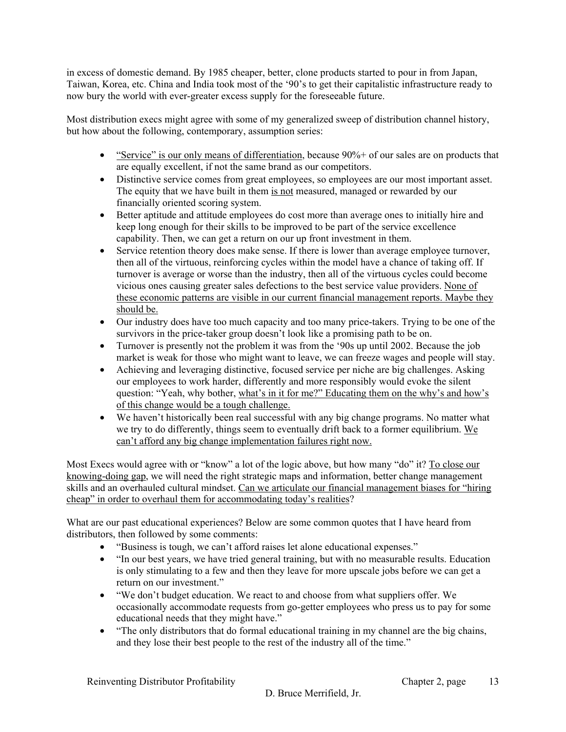in excess of domestic demand. By 1985 cheaper, better, clone products started to pour in from Japan, Taiwan, Korea, etc. China and India took most of the '90's to get their capitalistic infrastructure ready to now bury the world with ever-greater excess supply for the foreseeable future.

Most distribution execs might agree with some of my generalized sweep of distribution channel history, but how about the following, contemporary, assumption series:

- "Service" is our only means of differentiation, because  $90\%$  + of our sales are on products that are equally excellent, if not the same brand as our competitors.
- Distinctive service comes from great employees, so employees are our most important asset. The equity that we have built in them is not measured, managed or rewarded by our financially oriented scoring system.
- Better aptitude and attitude employees do cost more than average ones to initially hire and keep long enough for their skills to be improved to be part of the service excellence capability. Then, we can get a return on our up front investment in them.
- Service retention theory does make sense. If there is lower than average employee turnover, then all of the virtuous, reinforcing cycles within the model have a chance of taking off. If turnover is average or worse than the industry, then all of the virtuous cycles could become vicious ones causing greater sales defections to the best service value providers. None of these economic patterns are visible in our current financial management reports. Maybe they should be.
- Our industry does have too much capacity and too many price-takers. Trying to be one of the survivors in the price-taker group doesn't look like a promising path to be on.
- Turnover is presently not the problem it was from the '90s up until 2002. Because the job market is weak for those who might want to leave, we can freeze wages and people will stay.
- Achieving and leveraging distinctive, focused service per niche are big challenges. Asking our employees to work harder, differently and more responsibly would evoke the silent question: "Yeah, why bother, what's in it for me?" Educating them on the why's and how's of this change would be a tough challenge.
- We haven't historically been real successful with any big change programs. No matter what we try to do differently, things seem to eventually drift back to a former equilibrium. We can't afford any big change implementation failures right now.

Most Execs would agree with or "know" a lot of the logic above, but how many "do" it? To close our knowing-doing gap, we will need the right strategic maps and information, better change management skills and an overhauled cultural mindset. Can we articulate our financial management biases for "hiring cheap" in order to overhaul them for accommodating today's realities?

What are our past educational experiences? Below are some common quotes that I have heard from distributors, then followed by some comments:

- "Business is tough, we can't afford raises let alone educational expenses."
- "In our best years, we have tried general training, but with no measurable results. Education is only stimulating to a few and then they leave for more upscale jobs before we can get a return on our investment."
- "We don't budget education. We react to and choose from what suppliers offer. We occasionally accommodate requests from go-getter employees who press us to pay for some educational needs that they might have."
- "The only distributors that do formal educational training in my channel are the big chains, and they lose their best people to the rest of the industry all of the time."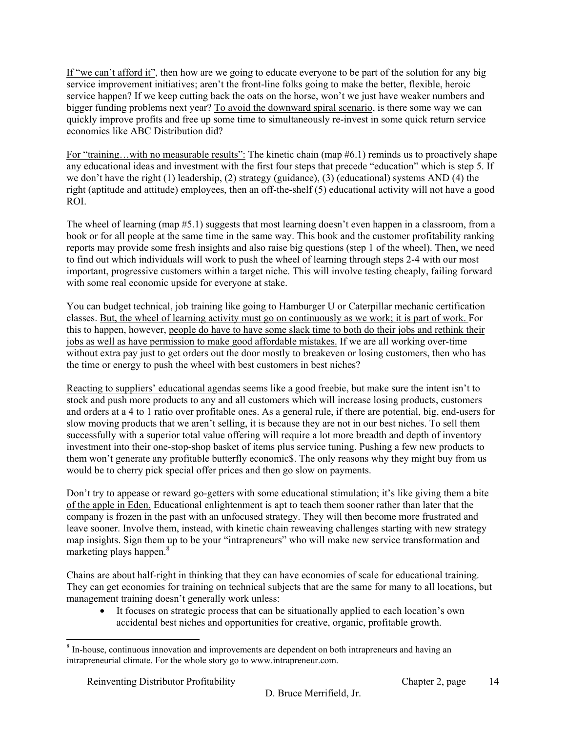If "we can't afford it", then how are we going to educate everyone to be part of the solution for any big service improvement initiatives; aren't the front-line folks going to make the better, flexible, heroic service happen? If we keep cutting back the oats on the horse, won't we just have weaker numbers and bigger funding problems next year? To avoid the downward spiral scenario, is there some way we can quickly improve profits and free up some time to simultaneously re-invest in some quick return service economics like ABC Distribution did?

For "training...with no measurable results": The kinetic chain (map #6.1) reminds us to proactively shape any educational ideas and investment with the first four steps that precede "education" which is step 5. If we don't have the right (1) leadership, (2) strategy (guidance), (3) (educational) systems AND (4) the right (aptitude and attitude) employees, then an off-the-shelf (5) educational activity will not have a good ROI.

The wheel of learning (map #5.1) suggests that most learning doesn't even happen in a classroom, from a book or for all people at the same time in the same way. This book and the customer profitability ranking reports may provide some fresh insights and also raise big questions (step 1 of the wheel). Then, we need to find out which individuals will work to push the wheel of learning through steps 2-4 with our most important, progressive customers within a target niche. This will involve testing cheaply, failing forward with some real economic upside for everyone at stake.

You can budget technical, job training like going to Hamburger U or Caterpillar mechanic certification classes. But, the wheel of learning activity must go on continuously as we work; it is part of work. For this to happen, however, people do have to have some slack time to both do their jobs and rethink their jobs as well as have permission to make good affordable mistakes. If we are all working over-time without extra pay just to get orders out the door mostly to breakeven or losing customers, then who has the time or energy to push the wheel with best customers in best niches?

Reacting to suppliers' educational agendas seems like a good freebie, but make sure the intent isn't to stock and push more products to any and all customers which will increase losing products, customers and orders at a 4 to 1 ratio over profitable ones. As a general rule, if there are potential, big, end-users for slow moving products that we aren't selling, it is because they are not in our best niches. To sell them successfully with a superior total value offering will require a lot more breadth and depth of inventory investment into their one-stop-shop basket of items plus service tuning. Pushing a few new products to them won't generate any profitable butterfly economic\$. The only reasons why they might buy from us would be to cherry pick special offer prices and then go slow on payments.

Don't try to appease or reward go-getters with some educational stimulation; it's like giving them a bite of the apple in Eden. Educational enlightenment is apt to teach them sooner rather than later that the company is frozen in the past with an unfocused strategy. They will then become more frustrated and leave sooner. Involve them, instead, with kinetic chain reweaving challenges starting with new strategy map insights. Sign them up to be your "intrapreneurs" who will make new service transformation and marketing plays happen.<sup>8</sup>

Chains are about half-right in thinking that they can have economies of scale for educational training. They can get economies for training on technical subjects that are the same for many to all locations, but management training doesn't generally work unless:

• It focuses on strategic process that can be situationally applied to each location's own accidental best niches and opportunities for creative, organic, profitable growth.

1

<sup>&</sup>lt;sup>8</sup> In-house, continuous innovation and improvements are dependent on both intrapreneurs and having an intrapreneurial climate. For the whole story go to www.intrapreneur.com.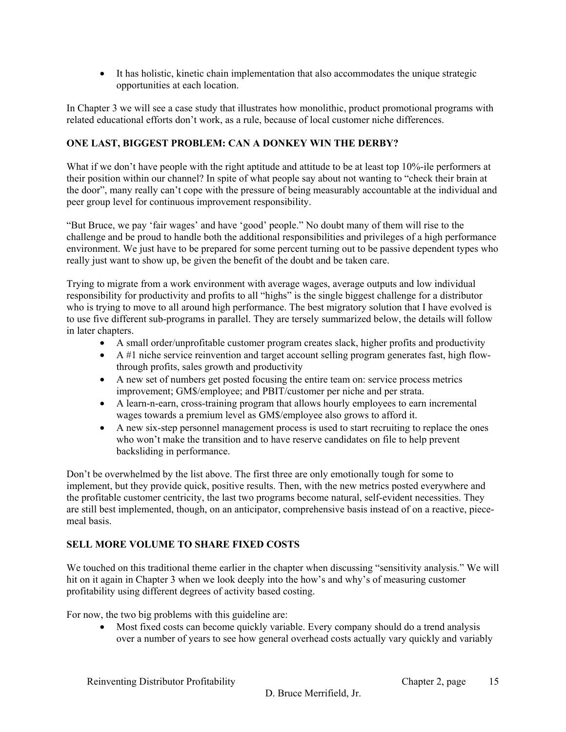• It has holistic, kinetic chain implementation that also accommodates the unique strategic opportunities at each location.

In Chapter 3 we will see a case study that illustrates how monolithic, product promotional programs with related educational efforts don't work, as a rule, because of local customer niche differences.

## **ONE LAST, BIGGEST PROBLEM: CAN A DONKEY WIN THE DERBY?**

What if we don't have people with the right aptitude and attitude to be at least top 10%-ile performers at their position within our channel? In spite of what people say about not wanting to "check their brain at the door", many really can't cope with the pressure of being measurably accountable at the individual and peer group level for continuous improvement responsibility.

"But Bruce, we pay 'fair wages' and have 'good' people." No doubt many of them will rise to the challenge and be proud to handle both the additional responsibilities and privileges of a high performance environment. We just have to be prepared for some percent turning out to be passive dependent types who really just want to show up, be given the benefit of the doubt and be taken care.

Trying to migrate from a work environment with average wages, average outputs and low individual responsibility for productivity and profits to all "highs" is the single biggest challenge for a distributor who is trying to move to all around high performance. The best migratory solution that I have evolved is to use five different sub-programs in parallel. They are tersely summarized below, the details will follow in later chapters.

- A small order/unprofitable customer program creates slack, higher profits and productivity
- $\bullet$  A #1 niche service reinvention and target account selling program generates fast, high flowthrough profits, sales growth and productivity
- A new set of numbers get posted focusing the entire team on: service process metrics improvement; GM\$/employee; and PBIT/customer per niche and per strata.
- A learn-n-earn, cross-training program that allows hourly employees to earn incremental wages towards a premium level as GM\$/employee also grows to afford it.
- A new six-step personnel management process is used to start recruiting to replace the ones who won't make the transition and to have reserve candidates on file to help prevent backsliding in performance.

Don't be overwhelmed by the list above. The first three are only emotionally tough for some to implement, but they provide quick, positive results. Then, with the new metrics posted everywhere and the profitable customer centricity, the last two programs become natural, self-evident necessities. They are still best implemented, though, on an anticipator, comprehensive basis instead of on a reactive, piecemeal basis.

## **SELL MORE VOLUME TO SHARE FIXED COSTS**

We touched on this traditional theme earlier in the chapter when discussing "sensitivity analysis." We will hit on it again in Chapter 3 when we look deeply into the how's and why's of measuring customer profitability using different degrees of activity based costing.

For now, the two big problems with this guideline are:

• Most fixed costs can become quickly variable. Every company should do a trend analysis over a number of years to see how general overhead costs actually vary quickly and variably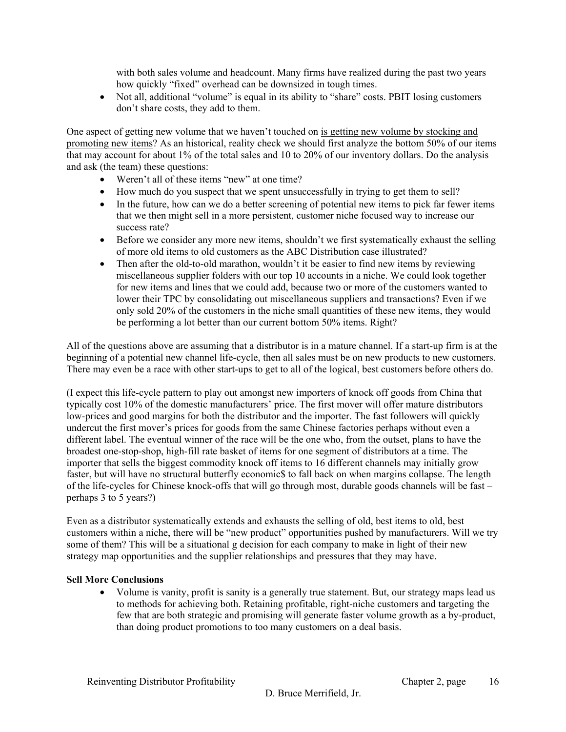with both sales volume and headcount. Many firms have realized during the past two years how quickly "fixed" overhead can be downsized in tough times.

• Not all, additional "volume" is equal in its ability to "share" costs. PBIT losing customers don't share costs, they add to them.

One aspect of getting new volume that we haven't touched on is getting new volume by stocking and promoting new items? As an historical, reality check we should first analyze the bottom 50% of our items that may account for about 1% of the total sales and 10 to 20% of our inventory dollars. Do the analysis and ask (the team) these questions:

- Weren't all of these items "new" at one time?
- How much do you suspect that we spent unsuccessfully in trying to get them to sell?
- In the future, how can we do a better screening of potential new items to pick far fewer items that we then might sell in a more persistent, customer niche focused way to increase our success rate?
- Before we consider any more new items, shouldn't we first systematically exhaust the selling of more old items to old customers as the ABC Distribution case illustrated?
- Then after the old-to-old marathon, wouldn't it be easier to find new items by reviewing miscellaneous supplier folders with our top 10 accounts in a niche. We could look together for new items and lines that we could add, because two or more of the customers wanted to lower their TPC by consolidating out miscellaneous suppliers and transactions? Even if we only sold 20% of the customers in the niche small quantities of these new items, they would be performing a lot better than our current bottom 50% items. Right?

All of the questions above are assuming that a distributor is in a mature channel. If a start-up firm is at the beginning of a potential new channel life-cycle, then all sales must be on new products to new customers. There may even be a race with other start-ups to get to all of the logical, best customers before others do.

(I expect this life-cycle pattern to play out amongst new importers of knock off goods from China that typically cost 10% of the domestic manufacturers' price. The first mover will offer mature distributors low-prices and good margins for both the distributor and the importer. The fast followers will quickly undercut the first mover's prices for goods from the same Chinese factories perhaps without even a different label. The eventual winner of the race will be the one who, from the outset, plans to have the broadest one-stop-shop, high-fill rate basket of items for one segment of distributors at a time. The importer that sells the biggest commodity knock off items to 16 different channels may initially grow faster, but will have no structural butterfly economic\$ to fall back on when margins collapse. The length of the life-cycles for Chinese knock-offs that will go through most, durable goods channels will be fast – perhaps 3 to 5 years?)

Even as a distributor systematically extends and exhausts the selling of old, best items to old, best customers within a niche, there will be "new product" opportunities pushed by manufacturers. Will we try some of them? This will be a situational g decision for each company to make in light of their new strategy map opportunities and the supplier relationships and pressures that they may have.

#### **Sell More Conclusions**

• Volume is vanity, profit is sanity is a generally true statement. But, our strategy maps lead us to methods for achieving both. Retaining profitable, right-niche customers and targeting the few that are both strategic and promising will generate faster volume growth as a by-product, than doing product promotions to too many customers on a deal basis.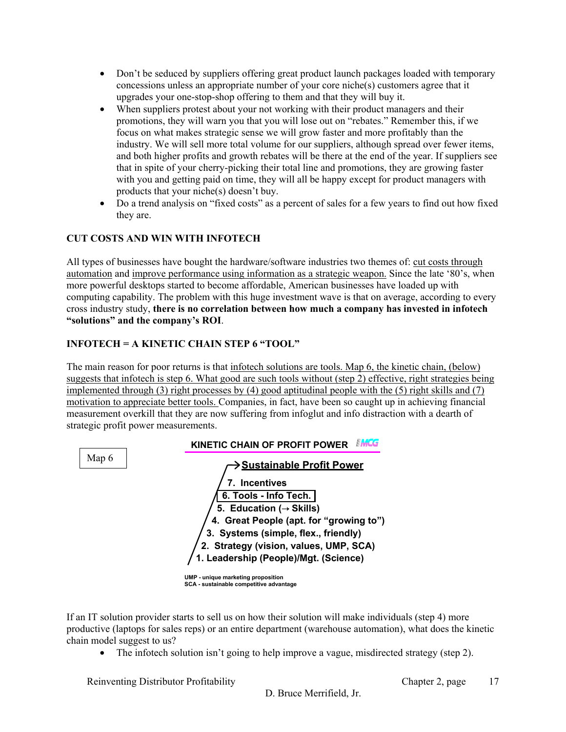- Don't be seduced by suppliers offering great product launch packages loaded with temporary concessions unless an appropriate number of your core niche(s) customers agree that it upgrades your one-stop-shop offering to them and that they will buy it.
- When suppliers protest about your not working with their product managers and their promotions, they will warn you that you will lose out on "rebates." Remember this, if we focus on what makes strategic sense we will grow faster and more profitably than the industry. We will sell more total volume for our suppliers, although spread over fewer items, and both higher profits and growth rebates will be there at the end of the year. If suppliers see that in spite of your cherry-picking their total line and promotions, they are growing faster with you and getting paid on time, they will all be happy except for product managers with products that your niche(s) doesn't buy.
- Do a trend analysis on "fixed costs" as a percent of sales for a few years to find out how fixed they are.

## **CUT COSTS AND WIN WITH INFOTECH**

All types of businesses have bought the hardware/software industries two themes of: cut costs through automation and improve performance using information as a strategic weapon. Since the late '80's, when more powerful desktops started to become affordable, American businesses have loaded up with computing capability. The problem with this huge investment wave is that on average, according to every cross industry study, **there is no correlation between how much a company has invested in infotech "solutions" and the company's ROI**.

## **INFOTECH = A KINETIC CHAIN STEP 6 "TOOL"**

The main reason for poor returns is that infotech solutions are tools. Map 6, the kinetic chain, (below) suggests that infotech is step 6. What good are such tools without (step 2) effective, right strategies being implemented through (3) right processes by (4) good aptitudinal people with the (5) right skills and (7) motivation to appreciate better tools. Companies, in fact, have been so caught up in achieving financial measurement overkill that they are now suffering from infoglut and info distraction with a dearth of strategic profit power measurements.



If an IT solution provider starts to sell us on how their solution will make individuals (step 4) more productive (laptops for sales reps) or an entire department (warehouse automation), what does the kinetic chain model suggest to us?

• The infotech solution isn't going to help improve a vague, misdirected strategy (step 2).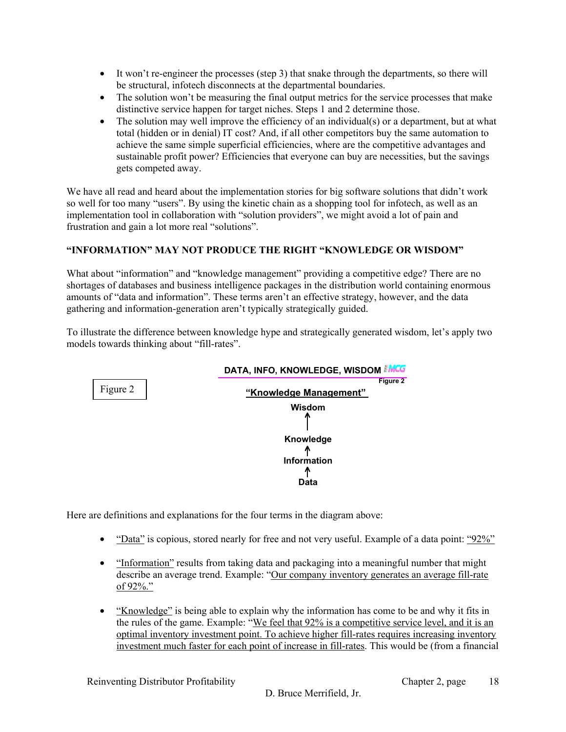- It won't re-engineer the processes (step 3) that snake through the departments, so there will be structural, infotech disconnects at the departmental boundaries.
- The solution won't be measuring the final output metrics for the service processes that make distinctive service happen for target niches. Steps 1 and 2 determine those.
- The solution may well improve the efficiency of an individual(s) or a department, but at what total (hidden or in denial) IT cost? And, if all other competitors buy the same automation to achieve the same simple superficial efficiencies, where are the competitive advantages and sustainable profit power? Efficiencies that everyone can buy are necessities, but the savings gets competed away.

We have all read and heard about the implementation stories for big software solutions that didn't work so well for too many "users". By using the kinetic chain as a shopping tool for infotech, as well as an implementation tool in collaboration with "solution providers", we might avoid a lot of pain and frustration and gain a lot more real "solutions".

#### **"INFORMATION" MAY NOT PRODUCE THE RIGHT "KNOWLEDGE OR WISDOM"**

What about "information" and "knowledge management" providing a competitive edge? There are no shortages of databases and business intelligence packages in the distribution world containing enormous amounts of "data and information". These terms aren't an effective strategy, however, and the data gathering and information-generation aren't typically strategically guided.

To illustrate the difference between knowledge hype and strategically generated wisdom, let's apply two models towards thinking about "fill-rates".



Here are definitions and explanations for the four terms in the diagram above:

- "Data" is copious, stored nearly for free and not very useful. Example of a data point: "92%"
- "Information" results from taking data and packaging into a meaningful number that might describe an average trend. Example: "Our company inventory generates an average fill-rate of 92%."
- "Knowledge" is being able to explain why the information has come to be and why it fits in the rules of the game. Example: "We feel that 92% is a competitive service level, and it is an optimal inventory investment point. To achieve higher fill-rates requires increasing inventory investment much faster for each point of increase in fill-rates. This would be (from a financial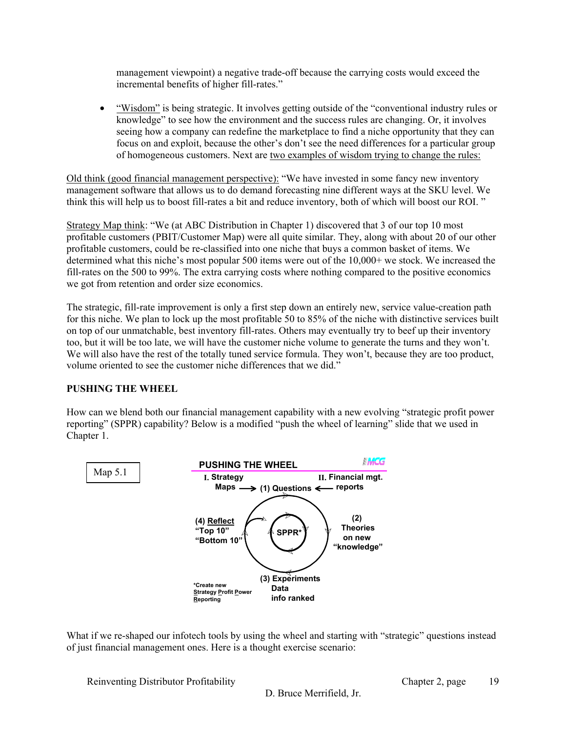management viewpoint) a negative trade-off because the carrying costs would exceed the incremental benefits of higher fill-rates."

• "Wisdom" is being strategic. It involves getting outside of the "conventional industry rules or knowledge" to see how the environment and the success rules are changing. Or, it involves seeing how a company can redefine the marketplace to find a niche opportunity that they can focus on and exploit, because the other's don't see the need differences for a particular group of homogeneous customers. Next are two examples of wisdom trying to change the rules:

Old think (good financial management perspective): "We have invested in some fancy new inventory management software that allows us to do demand forecasting nine different ways at the SKU level. We think this will help us to boost fill-rates a bit and reduce inventory, both of which will boost our ROI. "

Strategy Map think: "We (at ABC Distribution in Chapter 1) discovered that 3 of our top 10 most profitable customers (PBIT/Customer Map) were all quite similar. They, along with about 20 of our other profitable customers, could be re-classified into one niche that buys a common basket of items. We determined what this niche's most popular 500 items were out of the 10,000+ we stock. We increased the fill-rates on the 500 to 99%. The extra carrying costs where nothing compared to the positive economics we got from retention and order size economics.

The strategic, fill-rate improvement is only a first step down an entirely new, service value-creation path for this niche. We plan to lock up the most profitable 50 to 85% of the niche with distinctive services built on top of our unmatchable, best inventory fill-rates. Others may eventually try to beef up their inventory too, but it will be too late, we will have the customer niche volume to generate the turns and they won't. We will also have the rest of the totally tuned service formula. They won't, because they are too product, volume oriented to see the customer niche differences that we did."

#### **PUSHING THE WHEEL**

How can we blend both our financial management capability with a new evolving "strategic profit power reporting" (SPPR) capability? Below is a modified "push the wheel of learning" slide that we used in Chapter 1.



What if we re-shaped our infotech tools by using the wheel and starting with "strategic" questions instead of just financial management ones. Here is a thought exercise scenario:

Reinventing Distributor Profitability **Chapter 2, page** 

19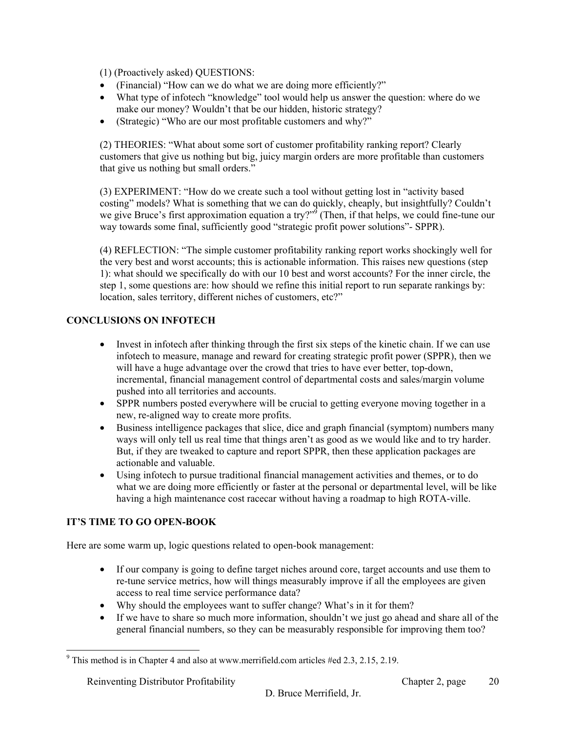(1) (Proactively asked) QUESTIONS:

- (Financial) "How can we do what we are doing more efficiently?"
- What type of infotech "knowledge" tool would help us answer the question: where do we make our money? Wouldn't that be our hidden, historic strategy?
- (Strategic) "Who are our most profitable customers and why?"

(2) THEORIES: "What about some sort of customer profitability ranking report? Clearly customers that give us nothing but big, juicy margin orders are more profitable than customers that give us nothing but small orders."

(3) EXPERIMENT: "How do we create such a tool without getting lost in "activity based costing" models? What is something that we can do quickly, cheaply, but insightfully? Couldn't we give Bruce's first approximation equation a try?"<sup>9</sup> (Then, if that helps, we could fine-tune our way towards some final, sufficiently good "strategic profit power solutions"- SPPR).

(4) REFLECTION: "The simple customer profitability ranking report works shockingly well for the very best and worst accounts; this is actionable information. This raises new questions (step 1): what should we specifically do with our 10 best and worst accounts? For the inner circle, the step 1, some questions are: how should we refine this initial report to run separate rankings by: location, sales territory, different niches of customers, etc?"

## **CONCLUSIONS ON INFOTECH**

- Invest in infotech after thinking through the first six steps of the kinetic chain. If we can use infotech to measure, manage and reward for creating strategic profit power (SPPR), then we will have a huge advantage over the crowd that tries to have ever better, top-down, incremental, financial management control of departmental costs and sales/margin volume pushed into all territories and accounts.
- SPPR numbers posted everywhere will be crucial to getting everyone moving together in a new, re-aligned way to create more profits.
- Business intelligence packages that slice, dice and graph financial (symptom) numbers many ways will only tell us real time that things aren't as good as we would like and to try harder. But, if they are tweaked to capture and report SPPR, then these application packages are actionable and valuable.
- Using infotech to pursue traditional financial management activities and themes, or to do what we are doing more efficiently or faster at the personal or departmental level, will be like having a high maintenance cost racecar without having a roadmap to high ROTA-ville.

## **IT'S TIME TO GO OPEN-BOOK**

Here are some warm up, logic questions related to open-book management:

- If our company is going to define target niches around core, target accounts and use them to re-tune service metrics, how will things measurably improve if all the employees are given access to real time service performance data?
- Why should the employees want to suffer change? What's in it for them?
- If we have to share so much more information, shouldn't we just go ahead and share all of the general financial numbers, so they can be measurably responsible for improving them too?

<sup>1</sup> <sup>9</sup> This method is in Chapter 4 and also at www.merrifield.com articles #ed 2.3, 2.15, 2.19.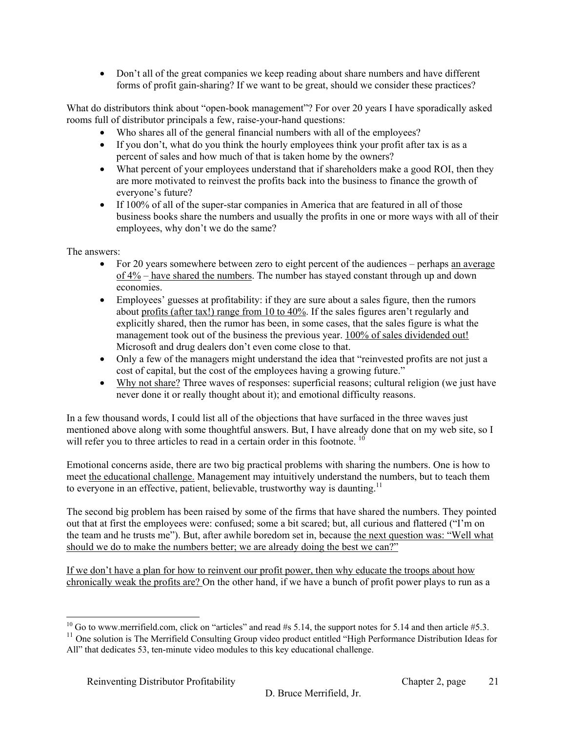• Don't all of the great companies we keep reading about share numbers and have different forms of profit gain-sharing? If we want to be great, should we consider these practices?

What do distributors think about "open-book management"? For over 20 years I have sporadically asked rooms full of distributor principals a few, raise-your-hand questions:

- Who shares all of the general financial numbers with all of the employees?
- If you don't, what do you think the hourly employees think your profit after tax is as a percent of sales and how much of that is taken home by the owners?
- What percent of your employees understand that if shareholders make a good ROI, then they are more motivated to reinvest the profits back into the business to finance the growth of everyone's future?
- If 100% of all of the super-star companies in America that are featured in all of those business books share the numbers and usually the profits in one or more ways with all of their employees, why don't we do the same?

The answers:

- For 20 years somewhere between zero to eight percent of the audiences perhaps an average of 4% – have shared the numbers. The number has stayed constant through up and down economies.
- Employees' guesses at profitability: if they are sure about a sales figure, then the rumors about profits (after tax!) range from 10 to 40%. If the sales figures aren't regularly and explicitly shared, then the rumor has been, in some cases, that the sales figure is what the management took out of the business the previous year. 100% of sales dividended out! Microsoft and drug dealers don't even come close to that.
- Only a few of the managers might understand the idea that "reinvested profits are not just a cost of capital, but the cost of the employees having a growing future."
- Why not share? Three waves of responses: superficial reasons; cultural religion (we just have never done it or really thought about it); and emotional difficulty reasons.

In a few thousand words, I could list all of the objections that have surfaced in the three waves just mentioned above along with some thoughtful answers. But, I have already done that on my web site, so I will refer you to three articles to read in a certain order in this footnote.<sup>10</sup>

Emotional concerns aside, there are two big practical problems with sharing the numbers. One is how to meet the educational challenge. Management may intuitively understand the numbers, but to teach them to everyone in an effective, patient, believable, trustworthy wav is daunting.<sup>11</sup>

The second big problem has been raised by some of the firms that have shared the numbers. They pointed out that at first the employees were: confused; some a bit scared; but, all curious and flattered ("I'm on the team and he trusts me"). But, after awhile boredom set in, because the next question was: "Well what should we do to make the numbers better; we are already doing the best we can?"

If we don't have a plan for how to reinvent our profit power, then why educate the troops about how chronically weak the profits are? On the other hand, if we have a bunch of profit power plays to run as a

 $\overline{a}$ <sup>10</sup> Go to www.merrifield.com, click on "articles" and read #s 5.14, the support notes for 5.14 and then article #5.3.

<sup>&</sup>lt;sup>11</sup> One solution is The Merrifield Consulting Group video product entitled "High Performance Distribution Ideas for All" that dedicates 53, ten-minute video modules to this key educational challenge.